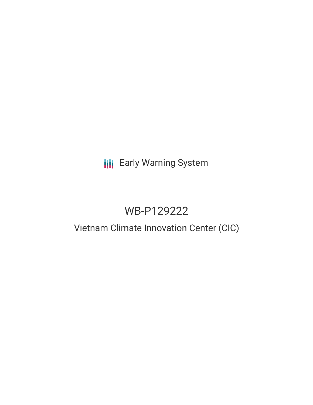# **III** Early Warning System

# WB-P129222

## Vietnam Climate Innovation Center (CIC)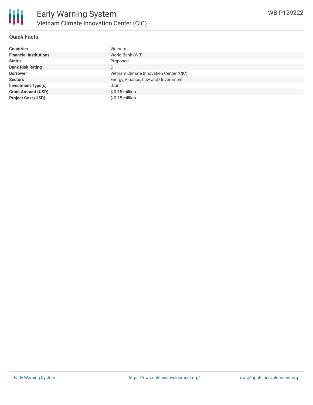

### **Quick Facts**

| <b>Countries</b>              | <b>Vietnam</b>                          |
|-------------------------------|-----------------------------------------|
| <b>Financial Institutions</b> | World Bank (WB)                         |
| <b>Status</b>                 | Proposed                                |
| <b>Bank Risk Rating</b>       | C.                                      |
| <b>Borrower</b>               | Vietnam Climate Innovation Center (CIC) |
| <b>Sectors</b>                | Energy, Finance, Law and Government     |
| <b>Investment Type(s)</b>     | Grant                                   |
| <b>Grant Amount (USD)</b>     | $$0.15$ million                         |
| <b>Project Cost (USD)</b>     | $$0.15$ million                         |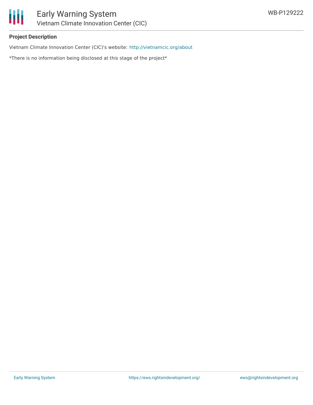

#### **Project Description**

Vietnam Climate Innovation Center (CIC)'s website: <http://vietnamcic.org/about>

\*There is no information being disclosed at this stage of the project\*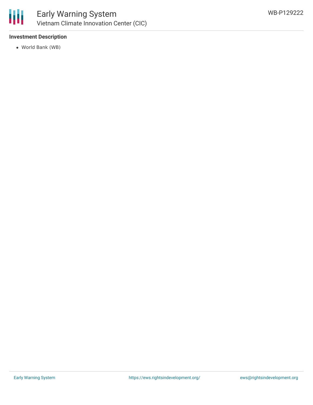

### **Investment Description**

World Bank (WB)